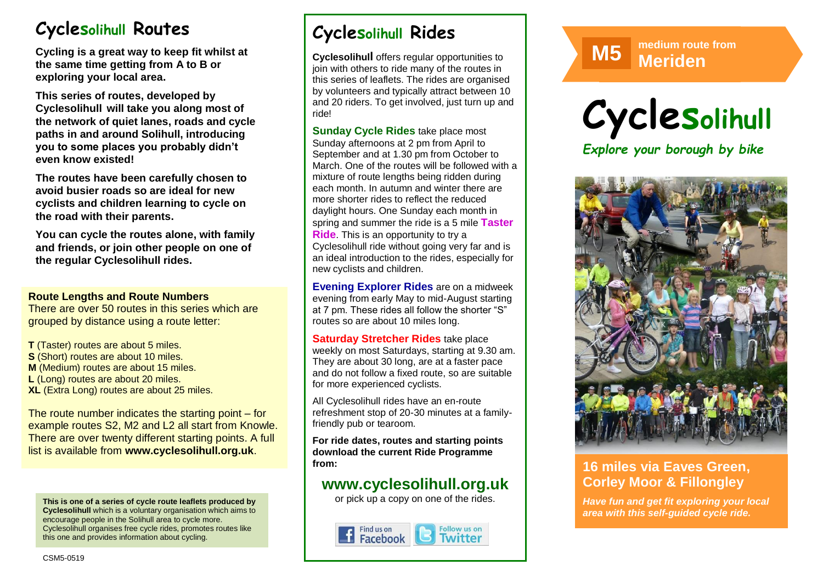# **Cyclesolihull Routes**

**Cycling is a great way to keep fit whilst at the same time getting from A to B or exploring your local area.** 

**This series of routes, developed by Cyclesolihull will take you along most of the network of quiet lanes, roads and cycle paths in and around Solihull, introducing you to some places you probably didn't even know existed!**

**The routes have been carefully chosen to avoid busier roads so are ideal for new cyclists and children learning to cycle on the road with their parents.** 

**You can cycle the routes alone, with family and friends, or join other people on one of the regular Cyclesolihull rides.**

#### **Route Lengths and Route Numbers**

There are over 50 routes in this series which are grouped by distance using a route letter:

**T** (Taster) routes are about 5 miles. **S** (Short) routes are about 10 miles. **M** (Medium) routes are about 15 miles. **L** (Long) routes are about 20 miles. **XL** (Extra Long) routes are about 25 miles.

The route number indicates the starting point – for example routes S2, M2 and L2 all start from Knowle. There are over twenty different starting points. A full list is available from **www.cyclesolihull.org.uk**.

**This is one of a series of cycle route leaflets produced by Cyclesolihull** which is a voluntary organisation which aims to encourage people in the Solihull area to cycle more. Cyclesolihull organises free cycle rides, promotes routes like this one and provides information about cycling.

# **Cyclesolihull Rides**

**Cyclesolihull** offers regular opportunities to join with others to ride many of the routes in this series of leaflets. The rides are organised by volunteers and typically attract between 10 and 20 riders. To get involved, just turn up and ride!

**Sunday Cycle Rides** take place most Sunday afternoons at 2 pm from April to September and at 1.30 pm from October to March. One of the routes will be followed with a mixture of route lengths being ridden during each month. In autumn and winter there are more shorter rides to reflect the reduced daylight hours. One Sunday each month in spring and summer the ride is a 5 mile **Taster Ride**. This is an opportunity to try a Cyclesolihull ride without going very far and is an ideal introduction to the rides, especially for new cyclists and children.

**Evening Explorer Rides** are on a midweek evening from early May to mid-August starting at 7 pm. These rides all follow the shorter "S" routes so are about 10 miles long.

**Saturday Stretcher Rides** take place weekly on most Saturdays, starting at 9.30 am. They are about 30 long, are at a faster pace and do not follow a fixed route, so are suitable for more experienced cyclists.

All Cyclesolihull rides have an en-route refreshment stop of 20-30 minutes at a familyfriendly pub or tearoom.

**For ride dates, routes and starting points download the current Ride Programme from:** 

## **www.cyclesolihull.org.uk**

or pick up a copy on one of the rides.



**M5 Meriden M5 Meriden** 





### **16 miles via Eaves Green, Corley Moor & Fillongley**

*Have fun and get fit exploring your local area with this self-guided cycle ride.*